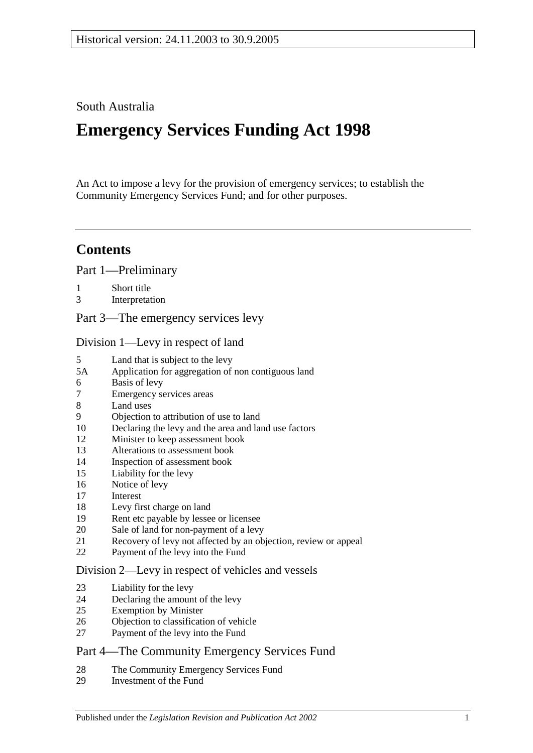## South Australia

# **Emergency Services Funding Act 1998**

An Act to impose a levy for the provision of emergency services; to establish the Community Emergency Services Fund; and for other purposes.

# **Contents**

[Part 1—Preliminary](#page-1-0)

- 1 [Short title](#page-1-1)<br>3 Interpretat
- [Interpretation](#page-1-2)
- [Part 3—The emergency services levy](#page-3-0)

[Division 1—Levy in respect of land](#page-3-1)

- 5 [Land that is subject to the levy](#page-3-2)
- 5A [Application for aggregation of non contiguous land](#page-5-0)
- 6 [Basis of levy](#page-5-1)
- 7 [Emergency services areas](#page-6-0)
- [Land uses](#page-6-1)
- 9 [Objection to attribution of use to land](#page-7-0)<br>10 Declaring the levy and the area and la
- [Declaring the levy and the area and land use factors](#page-7-1)
- 12 [Minister to keep assessment book](#page-9-0)
- 13 [Alterations to assessment book](#page-10-0)
- 14 [Inspection of assessment book](#page-10-1)
- 15 [Liability for the levy](#page-10-2)
- 16 [Notice of levy](#page-10-3)<br>17 Interest
- **[Interest](#page-11-0)**
- 18 [Levy first charge on land](#page-11-1)<br>19 Rent etc payable by lesse
- [Rent etc payable by lessee or licensee](#page-11-2)
- 20 [Sale of land for non-payment of a levy](#page-12-0)
- 21 [Recovery of levy not affected by an objection, review or appeal](#page-13-0)
- 22 [Payment of the levy into the Fund](#page-14-0)

#### [Division 2—Levy in respect of vehicles and vessels](#page-14-1)

- 23 [Liability for the levy](#page-14-2)
- 24 [Declaring the amount of the levy](#page-14-3)
- 25 [Exemption by Minister](#page-15-0)
- 26 [Objection to classification of vehicle](#page-15-1)
- 27 [Payment of the levy into the Fund](#page-16-0)

## [Part 4—The Community Emergency Services Fund](#page-16-1)

- 28 [The Community Emergency Services Fund](#page-16-2)
- 29 [Investment of the Fund](#page-17-0)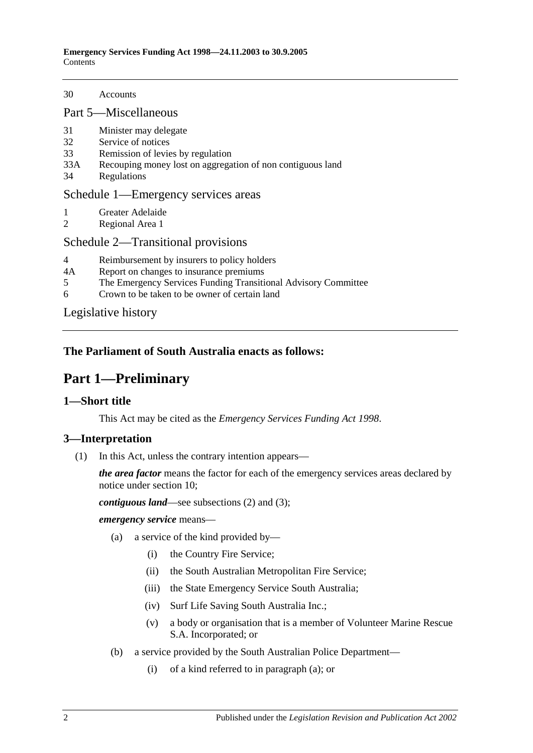30 [Accounts](#page-17-1)

[Part 5—Miscellaneous](#page-17-2)

- 31 [Minister may delegate](#page-17-3)<br>32 Service of notices
- 32 [Service of notices](#page-17-4)<br>33 Remission of levie
- 33 [Remission of levies by regulation](#page-18-0)<br>33A Recouping money lost on aggrega
- [Recouping money lost on aggregation of non contiguous land](#page-18-1)
- 34 [Regulations](#page-18-2)

#### [Schedule 1—Emergency services areas](#page-19-0)

- 1 [Greater Adelaide](#page-19-1)<br>2 Regional Area 1
- [Regional Area 1](#page-19-2)

#### [Schedule 2—Transitional provisions](#page-20-0)

- 4 [Reimbursement by insurers to policy holders](#page-20-1)<br>4A Report on changes to insurance premiums
- 4A [Report on changes to insurance premiums](#page-20-2)<br>5 The Emergency Services Funding Transiti
- 5 [The Emergency Services Funding Transitional Advisory Committee](#page-20-3)
- 6 [Crown to be taken to be owner of certain land](#page-22-0)

[Legislative history](#page-23-0)

## <span id="page-1-0"></span>**The Parliament of South Australia enacts as follows:**

# **Part 1—Preliminary**

## <span id="page-1-1"></span>**1—Short title**

This Act may be cited as the *Emergency Services Funding Act 1998*.

#### <span id="page-1-5"></span><span id="page-1-2"></span>**3—Interpretation**

(1) In this Act, unless the contrary intention appears—

*the area factor* means the factor for each of the emergency services areas declared by notice under [section](#page-7-1) 10;

*contiguous land*—see [subsections](#page-3-3) (2) an[d \(3\);](#page-3-4)

<span id="page-1-3"></span>*emergency service* means—

- (a) a service of the kind provided by—
	- (i) the Country Fire Service;
	- (ii) the South Australian Metropolitan Fire Service;
	- (iii) the State Emergency Service South Australia;
	- (iv) Surf Life Saving South Australia Inc.;
	- (v) a body or organisation that is a member of Volunteer Marine Rescue S.A. Incorporated; or
- <span id="page-1-4"></span>(b) a service provided by the South Australian Police Department—
	- (i) of a kind referred to i[n paragraph](#page-1-3) (a); or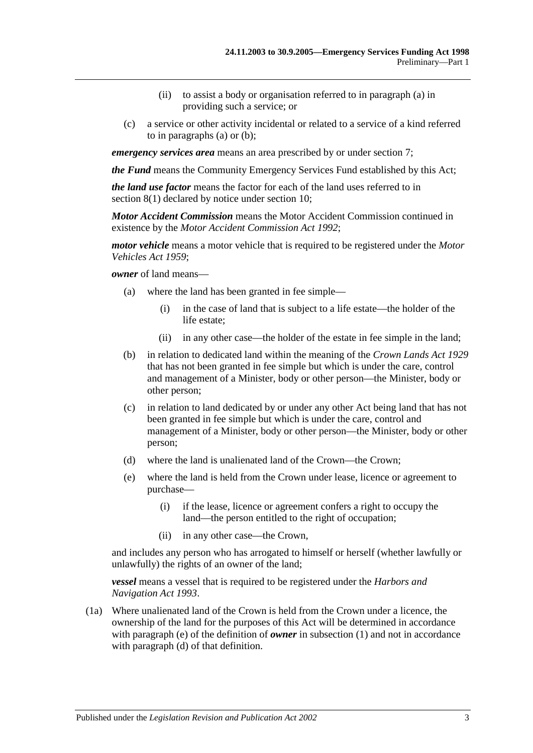- (ii) to assist a body or organisation referred to i[n paragraph](#page-1-3) (a) in providing such a service; or
- (c) a service or other activity incidental or related to a service of a kind referred to in [paragraphs](#page-1-3) (a) or [\(b\);](#page-1-4)

*emergency services area* means an area prescribed by or under [section](#page-6-0) 7;

*the Fund* means the Community Emergency Services Fund established by this Act;

*the land use factor* means the factor for each of the land uses referred to in [section](#page-6-2) 8(1) declared by notice under [section](#page-7-1) 10;

*Motor Accident Commission* means the Motor Accident Commission continued in existence by the *[Motor Accident Commission Act](http://www.legislation.sa.gov.au/index.aspx?action=legref&type=act&legtitle=Motor%20Accident%20Commission%20Act%201992) 1992*;

*motor vehicle* means a motor vehicle that is required to be registered under the *[Motor](http://www.legislation.sa.gov.au/index.aspx?action=legref&type=act&legtitle=Motor%20Vehicles%20Act%201959)  [Vehicles Act](http://www.legislation.sa.gov.au/index.aspx?action=legref&type=act&legtitle=Motor%20Vehicles%20Act%201959) 1959*;

*owner* of land means—

- (a) where the land has been granted in fee simple—
	- (i) in the case of land that is subject to a life estate—the holder of the life estate;
	- (ii) in any other case—the holder of the estate in fee simple in the land;
- (b) in relation to dedicated land within the meaning of the *[Crown Lands Act](http://www.legislation.sa.gov.au/index.aspx?action=legref&type=act&legtitle=Crown%20Lands%20Act%201929) 1929* that has not been granted in fee simple but which is under the care, control and management of a Minister, body or other person—the Minister, body or other person;
- (c) in relation to land dedicated by or under any other Act being land that has not been granted in fee simple but which is under the care, control and management of a Minister, body or other person—the Minister, body or other person;
- <span id="page-2-1"></span>(d) where the land is unalienated land of the Crown—the Crown;
- <span id="page-2-0"></span>(e) where the land is held from the Crown under lease, licence or agreement to purchase—
	- (i) if the lease, licence or agreement confers a right to occupy the land—the person entitled to the right of occupation;
	- (ii) in any other case—the Crown,

and includes any person who has arrogated to himself or herself (whether lawfully or unlawfully) the rights of an owner of the land;

*vessel* means a vessel that is required to be registered under the *[Harbors and](http://www.legislation.sa.gov.au/index.aspx?action=legref&type=act&legtitle=Harbors%20and%20Navigation%20Act%201993)  [Navigation Act](http://www.legislation.sa.gov.au/index.aspx?action=legref&type=act&legtitle=Harbors%20and%20Navigation%20Act%201993) 1993*.

(1a) Where unalienated land of the Crown is held from the Crown under a licence, the ownership of the land for the purposes of this Act will be determined in accordance with [paragraph](#page-2-0) (e) of the definition of *owner* in [subsection](#page-1-5) (1) and not in accordance with [paragraph](#page-2-1) (d) of that definition.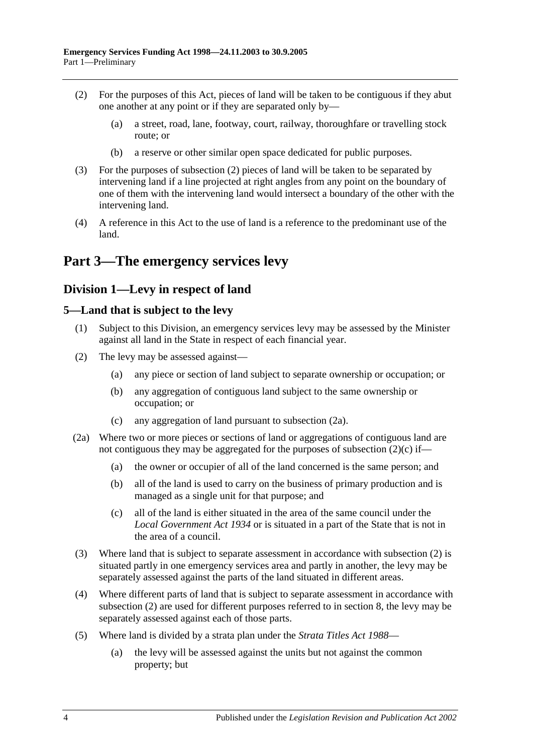- <span id="page-3-3"></span>(2) For the purposes of this Act, pieces of land will be taken to be contiguous if they abut one another at any point or if they are separated only by—
	- (a) a street, road, lane, footway, court, railway, thoroughfare or travelling stock route; or
	- (b) a reserve or other similar open space dedicated for public purposes.
- <span id="page-3-4"></span>(3) For the purposes of [subsection](#page-3-3) (2) pieces of land will be taken to be separated by intervening land if a line projected at right angles from any point on the boundary of one of them with the intervening land would intersect a boundary of the other with the intervening land.
- (4) A reference in this Act to the use of land is a reference to the predominant use of the land.

# <span id="page-3-0"></span>**Part 3—The emergency services levy**

## <span id="page-3-1"></span>**Division 1—Levy in respect of land**

## <span id="page-3-2"></span>**5—Land that is subject to the levy**

- (1) Subject to this Division, an emergency services levy may be assessed by the Minister against all land in the State in respect of each financial year.
- <span id="page-3-7"></span>(2) The levy may be assessed against—
	- (a) any piece or section of land subject to separate ownership or occupation; or
	- (b) any aggregation of contiguous land subject to the same ownership or occupation; or
	- (c) any aggregation of land pursuant to [subsection](#page-3-5) (2a).
- <span id="page-3-6"></span><span id="page-3-5"></span>(2a) Where two or more pieces or sections of land or aggregations of contiguous land are not contiguous they may be aggregated for the purposes of [subsection](#page-3-6)  $(2)(c)$  if—
	- (a) the owner or occupier of all of the land concerned is the same person; and
	- (b) all of the land is used to carry on the business of primary production and is managed as a single unit for that purpose; and
	- (c) all of the land is either situated in the area of the same council under the *[Local Government Act](http://www.legislation.sa.gov.au/index.aspx?action=legref&type=act&legtitle=Local%20Government%20Act%201934) 1934* or is situated in a part of the State that is not in the area of a council.
- (3) Where land that is subject to separate assessment in accordance with [subsection](#page-3-7) (2) is situated partly in one emergency services area and partly in another, the levy may be separately assessed against the parts of the land situated in different areas.
- (4) Where different parts of land that is subject to separate assessment in accordance with [subsection](#page-3-7) (2) are used for different purposes referred to in [section](#page-6-1) 8, the levy may be separately assessed against each of those parts.
- (5) Where land is divided by a strata plan under the *[Strata Titles Act](http://www.legislation.sa.gov.au/index.aspx?action=legref&type=act&legtitle=Strata%20Titles%20Act%201988) 1988*
	- (a) the levy will be assessed against the units but not against the common property; but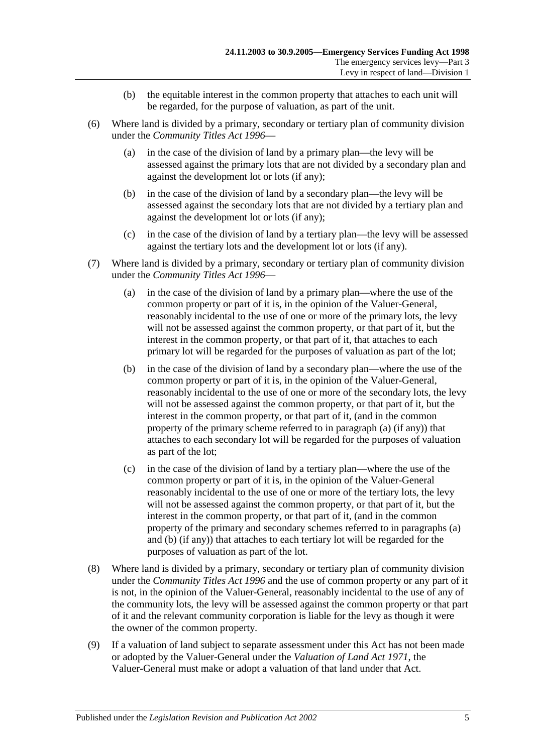- (b) the equitable interest in the common property that attaches to each unit will be regarded, for the purpose of valuation, as part of the unit.
- (6) Where land is divided by a primary, secondary or tertiary plan of community division under the *[Community Titles Act](http://www.legislation.sa.gov.au/index.aspx?action=legref&type=act&legtitle=Community%20Titles%20Act%201996) 1996*—
	- (a) in the case of the division of land by a primary plan—the levy will be assessed against the primary lots that are not divided by a secondary plan and against the development lot or lots (if any);
	- (b) in the case of the division of land by a secondary plan—the levy will be assessed against the secondary lots that are not divided by a tertiary plan and against the development lot or lots (if any);
	- (c) in the case of the division of land by a tertiary plan—the levy will be assessed against the tertiary lots and the development lot or lots (if any).
- <span id="page-4-1"></span><span id="page-4-0"></span>(7) Where land is divided by a primary, secondary or tertiary plan of community division under the *[Community Titles Act](http://www.legislation.sa.gov.au/index.aspx?action=legref&type=act&legtitle=Community%20Titles%20Act%201996) 1996*—
	- (a) in the case of the division of land by a primary plan—where the use of the common property or part of it is, in the opinion of the Valuer-General, reasonably incidental to the use of one or more of the primary lots, the levy will not be assessed against the common property, or that part of it, but the interest in the common property, or that part of it, that attaches to each primary lot will be regarded for the purposes of valuation as part of the lot;
	- (b) in the case of the division of land by a secondary plan—where the use of the common property or part of it is, in the opinion of the Valuer-General, reasonably incidental to the use of one or more of the secondary lots, the levy will not be assessed against the common property, or that part of it, but the interest in the common property, or that part of it, (and in the common property of the primary scheme referred to in [paragraph](#page-4-0) (a) (if any)) that attaches to each secondary lot will be regarded for the purposes of valuation as part of the lot;
	- (c) in the case of the division of land by a tertiary plan—where the use of the common property or part of it is, in the opinion of the Valuer-General reasonably incidental to the use of one or more of the tertiary lots, the levy will not be assessed against the common property, or that part of it, but the interest in the common property, or that part of it, (and in the common property of the primary and secondary schemes referred to in [paragraphs](#page-4-0) (a) and [\(b\)](#page-4-1) (if any)) that attaches to each tertiary lot will be regarded for the purposes of valuation as part of the lot.
- (8) Where land is divided by a primary, secondary or tertiary plan of community division under the *[Community Titles Act](http://www.legislation.sa.gov.au/index.aspx?action=legref&type=act&legtitle=Community%20Titles%20Act%201996) 1996* and the use of common property or any part of it is not, in the opinion of the Valuer-General, reasonably incidental to the use of any of the community lots, the levy will be assessed against the common property or that part of it and the relevant community corporation is liable for the levy as though it were the owner of the common property.
- (9) If a valuation of land subject to separate assessment under this Act has not been made or adopted by the Valuer-General under the *[Valuation of Land Act](http://www.legislation.sa.gov.au/index.aspx?action=legref&type=act&legtitle=Valuation%20of%20Land%20Act%201971) 1971*, the Valuer-General must make or adopt a valuation of that land under that Act.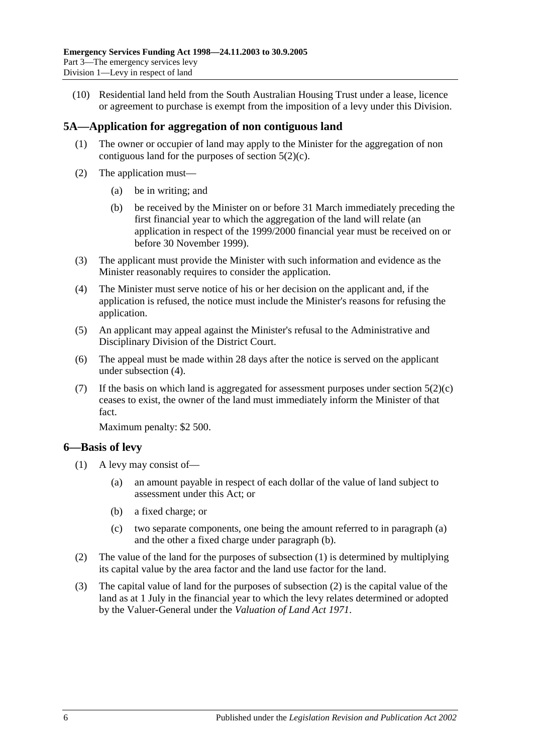(10) Residential land held from the South Australian Housing Trust under a lease, licence or agreement to purchase is exempt from the imposition of a levy under this Division.

## <span id="page-5-0"></span>**5A—Application for aggregation of non contiguous land**

- (1) The owner or occupier of land may apply to the Minister for the aggregation of non contiguous land for the purposes of [section](#page-3-6) 5(2)(c).
- (2) The application must—
	- (a) be in writing; and
	- (b) be received by the Minister on or before 31 March immediately preceding the first financial year to which the aggregation of the land will relate (an application in respect of the 1999/2000 financial year must be received on or before 30 November 1999).
- (3) The applicant must provide the Minister with such information and evidence as the Minister reasonably requires to consider the application.
- <span id="page-5-2"></span>(4) The Minister must serve notice of his or her decision on the applicant and, if the application is refused, the notice must include the Minister's reasons for refusing the application.
- (5) An applicant may appeal against the Minister's refusal to the Administrative and Disciplinary Division of the District Court.
- (6) The appeal must be made within 28 days after the notice is served on the applicant under [subsection](#page-5-2) (4).
- (7) If the basis on which land is aggregated for assessment purposes under [section](#page-3-6)  $5(2)(c)$ ceases to exist, the owner of the land must immediately inform the Minister of that fact.

Maximum penalty: \$2 500.

## <span id="page-5-5"></span><span id="page-5-1"></span>**6—Basis of levy**

- <span id="page-5-4"></span><span id="page-5-3"></span>(1) A levy may consist of—
	- (a) an amount payable in respect of each dollar of the value of land subject to assessment under this Act; or
	- (b) a fixed charge; or
	- (c) two separate components, one being the amount referred to in [paragraph](#page-5-3) (a) and the other a fixed charge under [paragraph](#page-5-4) (b).
- <span id="page-5-6"></span>(2) The value of the land for the purposes of [subsection](#page-5-5) (1) is determined by multiplying its capital value by the area factor and the land use factor for the land.
- (3) The capital value of land for the purposes of [subsection](#page-5-6) (2) is the capital value of the land as at 1 July in the financial year to which the levy relates determined or adopted by the Valuer-General under the *[Valuation of Land Act](http://www.legislation.sa.gov.au/index.aspx?action=legref&type=act&legtitle=Valuation%20of%20Land%20Act%201971) 1971*.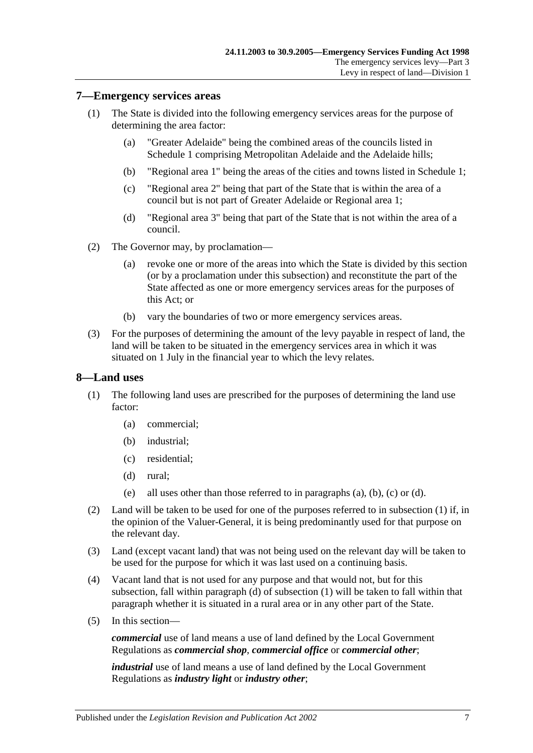#### <span id="page-6-0"></span>**7—Emergency services areas**

- (1) The State is divided into the following emergency services areas for the purpose of determining the area factor:
	- (a) "Greater Adelaide" being the combined areas of the councils listed in [Schedule 1](#page-19-0) comprising Metropolitan Adelaide and the Adelaide hills;
	- (b) "Regional area 1" being the areas of the cities and towns listed i[n Schedule 1;](#page-19-0)
	- (c) "Regional area 2" being that part of the State that is within the area of a council but is not part of Greater Adelaide or Regional area 1;
	- (d) "Regional area 3" being that part of the State that is not within the area of a council.
- (2) The Governor may, by proclamation—
	- (a) revoke one or more of the areas into which the State is divided by this section (or by a proclamation under this subsection) and reconstitute the part of the State affected as one or more emergency services areas for the purposes of this Act; or
	- (b) vary the boundaries of two or more emergency services areas.
- (3) For the purposes of determining the amount of the levy payable in respect of land, the land will be taken to be situated in the emergency services area in which it was situated on 1 July in the financial year to which the levy relates.

#### <span id="page-6-2"></span><span id="page-6-1"></span>**8—Land uses**

- <span id="page-6-5"></span><span id="page-6-4"></span><span id="page-6-3"></span>(1) The following land uses are prescribed for the purposes of determining the land use factor:
	- (a) commercial;
	- (b) industrial;
	- (c) residential;
	- (d) rural;
	- (e) all uses other than those referred to in [paragraphs](#page-6-3) (a), [\(b\),](#page-6-4) [\(c\)](#page-6-5) or [\(d\).](#page-6-6)
- <span id="page-6-6"></span>(2) Land will be taken to be used for one of the purposes referred to in [subsection](#page-6-2) (1) if, in the opinion of the Valuer-General, it is being predominantly used for that purpose on the relevant day.
- (3) Land (except vacant land) that was not being used on the relevant day will be taken to be used for the purpose for which it was last used on a continuing basis.
- (4) Vacant land that is not used for any purpose and that would not, but for this subsection, fall within [paragraph](#page-6-6) (d) of [subsection](#page-6-2) (1) will be taken to fall within that paragraph whether it is situated in a rural area or in any other part of the State.
- (5) In this section—

*commercial* use of land means a use of land defined by the Local Government Regulations as *commercial shop*, *commercial office* or *commercial other*;

*industrial* use of land means a use of land defined by the Local Government Regulations as *industry light* or *industry other*;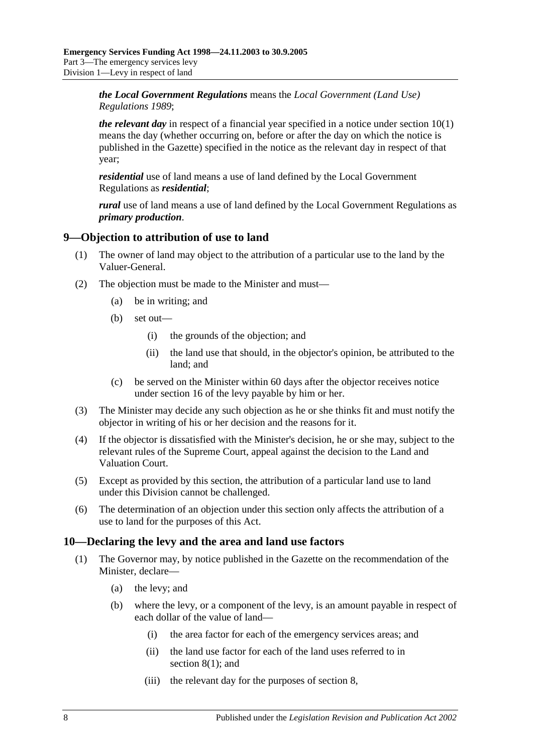*the Local Government Regulations* means the *[Local Government \(Land Use\)](http://www.legislation.sa.gov.au/index.aspx?action=legref&type=subordleg&legtitle=Local%20Government%20(Land%20Use)%20Regulations%201989)  [Regulations](http://www.legislation.sa.gov.au/index.aspx?action=legref&type=subordleg&legtitle=Local%20Government%20(Land%20Use)%20Regulations%201989) 1989*;

*the relevant day* in respect of a financial year specified in a notice under [section](#page-7-2) 10(1) means the day (whether occurring on, before or after the day on which the notice is published in the Gazette) specified in the notice as the relevant day in respect of that year;

*residential* use of land means a use of land defined by the Local Government Regulations as *residential*;

*rural* use of land means a use of land defined by the Local Government Regulations as *primary production*.

## <span id="page-7-0"></span>**9—Objection to attribution of use to land**

- (1) The owner of land may object to the attribution of a particular use to the land by the Valuer-General.
- (2) The objection must be made to the Minister and must—
	- (a) be in writing; and
	- (b) set out—
		- (i) the grounds of the objection; and
		- (ii) the land use that should, in the objector's opinion, be attributed to the land; and
	- (c) be served on the Minister within 60 days after the objector receives notice under [section](#page-10-3) 16 of the levy payable by him or her.
- (3) The Minister may decide any such objection as he or she thinks fit and must notify the objector in writing of his or her decision and the reasons for it.
- (4) If the objector is dissatisfied with the Minister's decision, he or she may, subject to the relevant rules of the Supreme Court, appeal against the decision to the Land and Valuation Court.
- (5) Except as provided by this section, the attribution of a particular land use to land under this Division cannot be challenged.
- (6) The determination of an objection under this section only affects the attribution of a use to land for the purposes of this Act.

#### <span id="page-7-2"></span><span id="page-7-1"></span>**10—Declaring the levy and the area and land use factors**

- (1) The Governor may, by notice published in the Gazette on the recommendation of the Minister, declare—
	- (a) the levy; and
	- (b) where the levy, or a component of the levy, is an amount payable in respect of each dollar of the value of land—
		- (i) the area factor for each of the emergency services areas; and
		- (ii) the land use factor for each of the land uses referred to in [section](#page-6-2) 8(1); and
		- (iii) the relevant day for the purposes o[f section](#page-6-1) 8,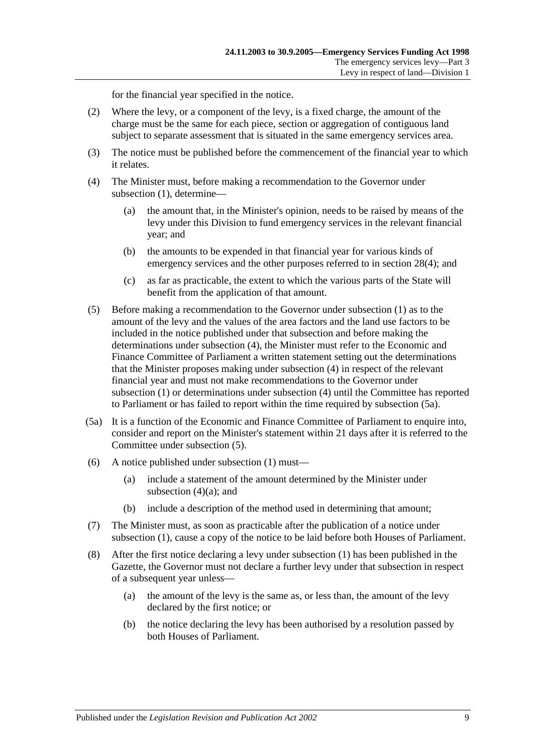for the financial year specified in the notice.

- (2) Where the levy, or a component of the levy, is a fixed charge, the amount of the charge must be the same for each piece, section or aggregation of contiguous land subject to separate assessment that is situated in the same emergency services area.
- (3) The notice must be published before the commencement of the financial year to which it relates.
- <span id="page-8-3"></span><span id="page-8-0"></span>(4) The Minister must, before making a recommendation to the Governor under [subsection](#page-7-2) (1), determine—
	- (a) the amount that, in the Minister's opinion, needs to be raised by means of the levy under this Division to fund emergency services in the relevant financial year; and
	- (b) the amounts to be expended in that financial year for various kinds of emergency services and the other purposes referred to in [section](#page-16-3) 28(4); and
	- (c) as far as practicable, the extent to which the various parts of the State will benefit from the application of that amount.
- <span id="page-8-2"></span>(5) Before making a recommendation to the Governor under [subsection](#page-7-2) (1) as to the amount of the levy and the values of the area factors and the land use factors to be included in the notice published under that subsection and before making the determinations under [subsection](#page-8-0) (4), the Minister must refer to the Economic and Finance Committee of Parliament a written statement setting out the determinations that the Minister proposes making under [subsection](#page-8-0) (4) in respect of the relevant financial year and must not make recommendations to the Governor under [subsection](#page-7-2) (1) or determinations under [subsection](#page-8-0) (4) until the Committee has reported to Parliament or has failed to report within the time required by [subsection](#page-8-1) (5a).
- <span id="page-8-1"></span>(5a) It is a function of the Economic and Finance Committee of Parliament to enquire into, consider and report on the Minister's statement within 21 days after it is referred to the Committee under [subsection](#page-8-2) (5).
- (6) A notice published under [subsection](#page-7-2) (1) must—
	- (a) include a statement of the amount determined by the Minister under [subsection](#page-8-3)  $(4)(a)$ ; and
	- (b) include a description of the method used in determining that amount;
- (7) The Minister must, as soon as practicable after the publication of a notice under [subsection](#page-7-2) (1), cause a copy of the notice to be laid before both Houses of Parliament.
- (8) After the first notice declaring a levy under [subsection](#page-7-2) (1) has been published in the Gazette, the Governor must not declare a further levy under that subsection in respect of a subsequent year unless—
	- (a) the amount of the levy is the same as, or less than, the amount of the levy declared by the first notice; or
	- (b) the notice declaring the levy has been authorised by a resolution passed by both Houses of Parliament.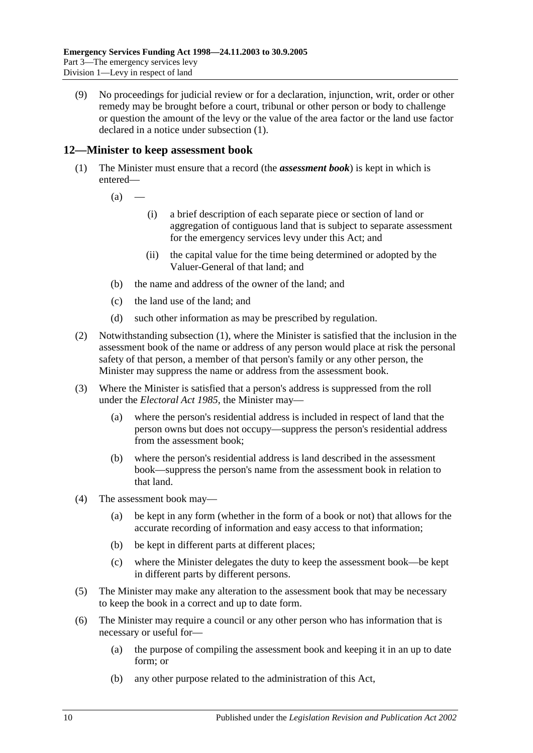(9) No proceedings for judicial review or for a declaration, injunction, writ, order or other remedy may be brought before a court, tribunal or other person or body to challenge or question the amount of the levy or the value of the area factor or the land use factor declared in a notice under [subsection](#page-7-2) (1).

## <span id="page-9-1"></span><span id="page-9-0"></span>**12—Minister to keep assessment book**

- (1) The Minister must ensure that a record (the *assessment book*) is kept in which is entered—
	- $(a)$ 
		- (i) a brief description of each separate piece or section of land or aggregation of contiguous land that is subject to separate assessment for the emergency services levy under this Act; and
		- (ii) the capital value for the time being determined or adopted by the Valuer-General of that land; and
	- (b) the name and address of the owner of the land; and
	- (c) the land use of the land; and
	- (d) such other information as may be prescribed by regulation.
- (2) Notwithstanding [subsection](#page-9-1) (1), where the Minister is satisfied that the inclusion in the assessment book of the name or address of any person would place at risk the personal safety of that person, a member of that person's family or any other person, the Minister may suppress the name or address from the assessment book.
- (3) Where the Minister is satisfied that a person's address is suppressed from the roll under the *[Electoral Act](http://www.legislation.sa.gov.au/index.aspx?action=legref&type=act&legtitle=Electoral%20Act%201985) 1985*, the Minister may—
	- (a) where the person's residential address is included in respect of land that the person owns but does not occupy—suppress the person's residential address from the assessment book;
	- (b) where the person's residential address is land described in the assessment book—suppress the person's name from the assessment book in relation to that land.
- (4) The assessment book may—
	- (a) be kept in any form (whether in the form of a book or not) that allows for the accurate recording of information and easy access to that information;
	- (b) be kept in different parts at different places;
	- (c) where the Minister delegates the duty to keep the assessment book—be kept in different parts by different persons.
- (5) The Minister may make any alteration to the assessment book that may be necessary to keep the book in a correct and up to date form.
- (6) The Minister may require a council or any other person who has information that is necessary or useful for—
	- (a) the purpose of compiling the assessment book and keeping it in an up to date form; or
	- (b) any other purpose related to the administration of this Act,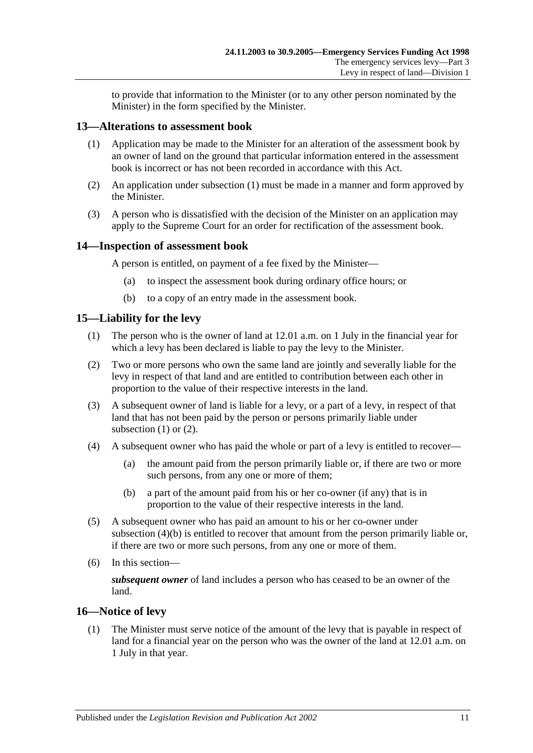to provide that information to the Minister (or to any other person nominated by the Minister) in the form specified by the Minister.

#### <span id="page-10-4"></span><span id="page-10-0"></span>**13—Alterations to assessment book**

- (1) Application may be made to the Minister for an alteration of the assessment book by an owner of land on the ground that particular information entered in the assessment book is incorrect or has not been recorded in accordance with this Act.
- (2) An application under [subsection](#page-10-4) (1) must be made in a manner and form approved by the Minister.
- (3) A person who is dissatisfied with the decision of the Minister on an application may apply to the Supreme Court for an order for rectification of the assessment book.

#### <span id="page-10-1"></span>**14—Inspection of assessment book**

A person is entitled, on payment of a fee fixed by the Minister—

- (a) to inspect the assessment book during ordinary office hours; or
- (b) to a copy of an entry made in the assessment book.

#### <span id="page-10-5"></span><span id="page-10-2"></span>**15—Liability for the levy**

- (1) The person who is the owner of land at 12.01 a.m. on 1 July in the financial year for which a levy has been declared is liable to pay the levy to the Minister.
- <span id="page-10-6"></span>(2) Two or more persons who own the same land are jointly and severally liable for the levy in respect of that land and are entitled to contribution between each other in proportion to the value of their respective interests in the land.
- (3) A subsequent owner of land is liable for a levy, or a part of a levy, in respect of that land that has not been paid by the person or persons primarily liable under [subsection](#page-10-5)  $(1)$  or  $(2)$ .
- (4) A subsequent owner who has paid the whole or part of a levy is entitled to recover—
	- (a) the amount paid from the person primarily liable or, if there are two or more such persons, from any one or more of them;
	- (b) a part of the amount paid from his or her co-owner (if any) that is in proportion to the value of their respective interests in the land.
- <span id="page-10-7"></span>(5) A subsequent owner who has paid an amount to his or her co-owner under [subsection](#page-10-7) (4)(b) is entitled to recover that amount from the person primarily liable or, if there are two or more such persons, from any one or more of them.
- (6) In this section—

*subsequent owner* of land includes a person who has ceased to be an owner of the land.

## <span id="page-10-3"></span>**16—Notice of levy**

(1) The Minister must serve notice of the amount of the levy that is payable in respect of land for a financial year on the person who was the owner of the land at 12.01 a.m. on 1 July in that year.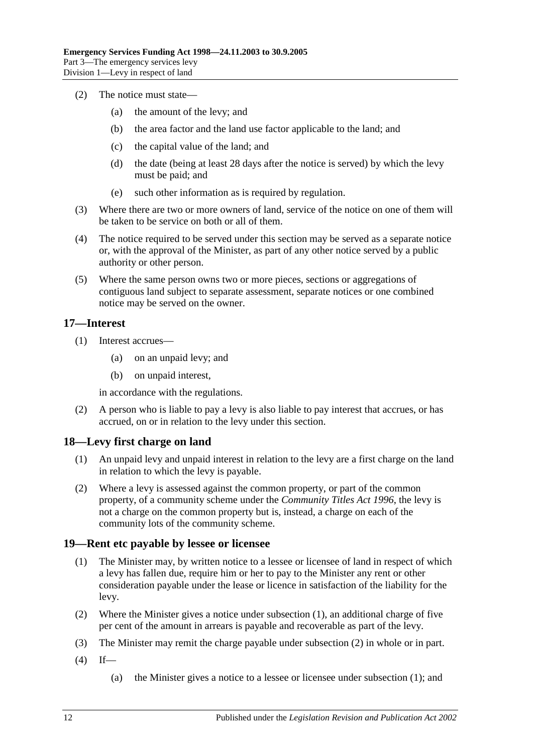- (2) The notice must state—
	- (a) the amount of the levy; and
	- (b) the area factor and the land use factor applicable to the land; and
	- (c) the capital value of the land; and
	- (d) the date (being at least 28 days after the notice is served) by which the levy must be paid; and
	- (e) such other information as is required by regulation.
- (3) Where there are two or more owners of land, service of the notice on one of them will be taken to be service on both or all of them.
- (4) The notice required to be served under this section may be served as a separate notice or, with the approval of the Minister, as part of any other notice served by a public authority or other person.
- (5) Where the same person owns two or more pieces, sections or aggregations of contiguous land subject to separate assessment, separate notices or one combined notice may be served on the owner.

#### <span id="page-11-0"></span>**17—Interest**

- (1) Interest accrues—
	- (a) on an unpaid levy; and
	- (b) on unpaid interest,

in accordance with the regulations.

(2) A person who is liable to pay a levy is also liable to pay interest that accrues, or has accrued, on or in relation to the levy under this section.

#### <span id="page-11-1"></span>**18—Levy first charge on land**

- (1) An unpaid levy and unpaid interest in relation to the levy are a first charge on the land in relation to which the levy is payable.
- (2) Where a levy is assessed against the common property, or part of the common property, of a community scheme under the *[Community Titles Act](http://www.legislation.sa.gov.au/index.aspx?action=legref&type=act&legtitle=Community%20Titles%20Act%201996) 1996*, the levy is not a charge on the common property but is, instead, a charge on each of the community lots of the community scheme.

#### <span id="page-11-3"></span><span id="page-11-2"></span>**19—Rent etc payable by lessee or licensee**

- (1) The Minister may, by written notice to a lessee or licensee of land in respect of which a levy has fallen due, require him or her to pay to the Minister any rent or other consideration payable under the lease or licence in satisfaction of the liability for the levy.
- <span id="page-11-4"></span>(2) Where the Minister gives a notice under [subsection](#page-11-3) (1), an additional charge of five per cent of the amount in arrears is payable and recoverable as part of the levy.
- (3) The Minister may remit the charge payable under [subsection](#page-11-4) (2) in whole or in part.
- $(4)$  If—
	- (a) the Minister gives a notice to a lessee or licensee under [subsection](#page-11-3) (1); and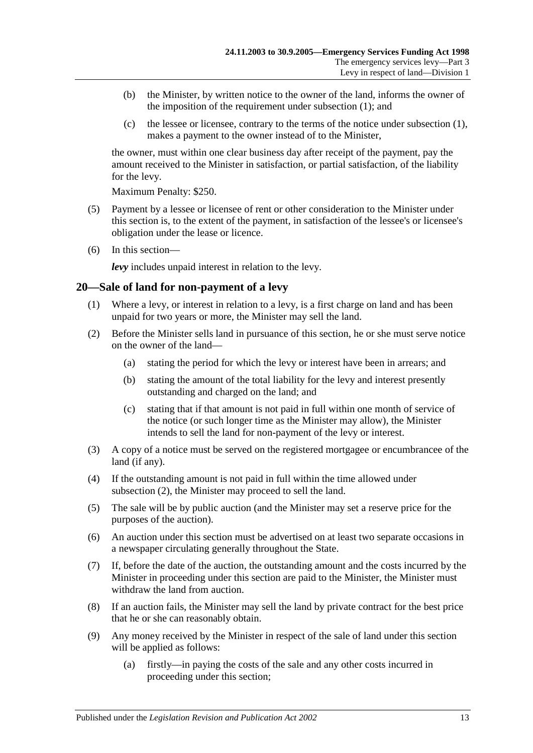- (b) the Minister, by written notice to the owner of the land, informs the owner of the imposition of the requirement under [subsection](#page-11-3) (1); and
- (c) the lessee or licensee, contrary to the terms of the notice under [subsection](#page-11-3) (1), makes a payment to the owner instead of to the Minister,

the owner, must within one clear business day after receipt of the payment, pay the amount received to the Minister in satisfaction, or partial satisfaction, of the liability for the levy.

Maximum Penalty: \$250.

- (5) Payment by a lessee or licensee of rent or other consideration to the Minister under this section is, to the extent of the payment, in satisfaction of the lessee's or licensee's obligation under the lease or licence.
- (6) In this section—

*levy* includes unpaid interest in relation to the levy.

## <span id="page-12-0"></span>**20—Sale of land for non-payment of a levy**

- (1) Where a levy, or interest in relation to a levy, is a first charge on land and has been unpaid for two years or more, the Minister may sell the land.
- <span id="page-12-1"></span>(2) Before the Minister sells land in pursuance of this section, he or she must serve notice on the owner of the land—
	- (a) stating the period for which the levy or interest have been in arrears; and
	- (b) stating the amount of the total liability for the levy and interest presently outstanding and charged on the land; and
	- (c) stating that if that amount is not paid in full within one month of service of the notice (or such longer time as the Minister may allow), the Minister intends to sell the land for non-payment of the levy or interest.
- (3) A copy of a notice must be served on the registered mortgagee or encumbrancee of the land (if any).
- (4) If the outstanding amount is not paid in full within the time allowed under [subsection](#page-12-1) (2), the Minister may proceed to sell the land.
- (5) The sale will be by public auction (and the Minister may set a reserve price for the purposes of the auction).
- (6) An auction under this section must be advertised on at least two separate occasions in a newspaper circulating generally throughout the State.
- (7) If, before the date of the auction, the outstanding amount and the costs incurred by the Minister in proceeding under this section are paid to the Minister, the Minister must withdraw the land from auction.
- (8) If an auction fails, the Minister may sell the land by private contract for the best price that he or she can reasonably obtain.
- (9) Any money received by the Minister in respect of the sale of land under this section will be applied as follows:
	- (a) firstly—in paying the costs of the sale and any other costs incurred in proceeding under this section;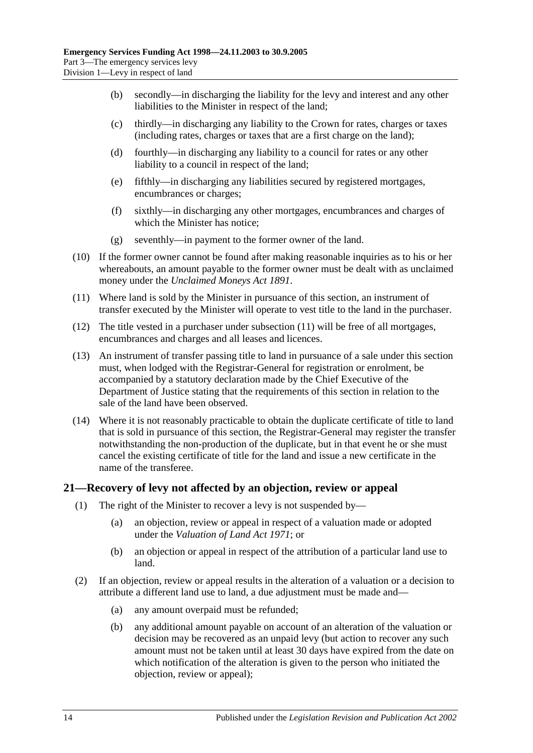- (b) secondly—in discharging the liability for the levy and interest and any other liabilities to the Minister in respect of the land;
- (c) thirdly—in discharging any liability to the Crown for rates, charges or taxes (including rates, charges or taxes that are a first charge on the land);
- (d) fourthly—in discharging any liability to a council for rates or any other liability to a council in respect of the land;
- (e) fifthly—in discharging any liabilities secured by registered mortgages, encumbrances or charges;
- (f) sixthly—in discharging any other mortgages, encumbrances and charges of which the Minister has notice;
- (g) seventhly—in payment to the former owner of the land.
- (10) If the former owner cannot be found after making reasonable inquiries as to his or her whereabouts, an amount payable to the former owner must be dealt with as unclaimed money under the *[Unclaimed Moneys Act](http://www.legislation.sa.gov.au/index.aspx?action=legref&type=act&legtitle=Unclaimed%20Moneys%20Act%201891) 1891*.
- <span id="page-13-1"></span>(11) Where land is sold by the Minister in pursuance of this section, an instrument of transfer executed by the Minister will operate to vest title to the land in the purchaser.
- (12) The title vested in a purchaser under [subsection](#page-13-1) (11) will be free of all mortgages, encumbrances and charges and all leases and licences.
- (13) An instrument of transfer passing title to land in pursuance of a sale under this section must, when lodged with the Registrar-General for registration or enrolment, be accompanied by a statutory declaration made by the Chief Executive of the Department of Justice stating that the requirements of this section in relation to the sale of the land have been observed.
- (14) Where it is not reasonably practicable to obtain the duplicate certificate of title to land that is sold in pursuance of this section, the Registrar-General may register the transfer notwithstanding the non-production of the duplicate, but in that event he or she must cancel the existing certificate of title for the land and issue a new certificate in the name of the transferee.

## <span id="page-13-0"></span>**21—Recovery of levy not affected by an objection, review or appeal**

- (1) The right of the Minister to recover a levy is not suspended by—
	- (a) an objection, review or appeal in respect of a valuation made or adopted under the *[Valuation of Land Act](http://www.legislation.sa.gov.au/index.aspx?action=legref&type=act&legtitle=Valuation%20of%20Land%20Act%201971) 1971*; or
	- (b) an objection or appeal in respect of the attribution of a particular land use to land.
- <span id="page-13-3"></span><span id="page-13-2"></span>(2) If an objection, review or appeal results in the alteration of a valuation or a decision to attribute a different land use to land, a due adjustment must be made and—
	- (a) any amount overpaid must be refunded;
	- (b) any additional amount payable on account of an alteration of the valuation or decision may be recovered as an unpaid levy (but action to recover any such amount must not be taken until at least 30 days have expired from the date on which notification of the alteration is given to the person who initiated the objection, review or appeal);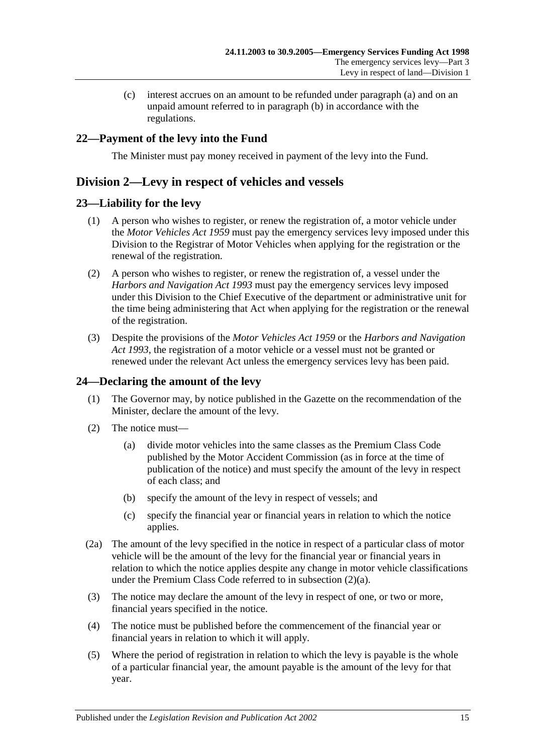(c) interest accrues on an amount to be refunded under [paragraph](#page-13-2) (a) and on an unpaid amount referred to in [paragraph](#page-13-3) (b) in accordance with the regulations.

## <span id="page-14-0"></span>**22—Payment of the levy into the Fund**

The Minister must pay money received in payment of the levy into the Fund.

## <span id="page-14-1"></span>**Division 2—Levy in respect of vehicles and vessels**

## <span id="page-14-2"></span>**23—Liability for the levy**

- (1) A person who wishes to register, or renew the registration of, a motor vehicle under the *[Motor Vehicles Act](http://www.legislation.sa.gov.au/index.aspx?action=legref&type=act&legtitle=Motor%20Vehicles%20Act%201959) 1959* must pay the emergency services levy imposed under this Division to the Registrar of Motor Vehicles when applying for the registration or the renewal of the registration.
- (2) A person who wishes to register, or renew the registration of, a vessel under the *[Harbors and Navigation Act](http://www.legislation.sa.gov.au/index.aspx?action=legref&type=act&legtitle=Harbors%20and%20Navigation%20Act%201993) 1993* must pay the emergency services levy imposed under this Division to the Chief Executive of the department or administrative unit for the time being administering that Act when applying for the registration or the renewal of the registration.
- (3) Despite the provisions of the *[Motor Vehicles Act](http://www.legislation.sa.gov.au/index.aspx?action=legref&type=act&legtitle=Motor%20Vehicles%20Act%201959) 1959* or the *[Harbors and Navigation](http://www.legislation.sa.gov.au/index.aspx?action=legref&type=act&legtitle=Harbors%20and%20Navigation%20Act%201993)  Act [1993](http://www.legislation.sa.gov.au/index.aspx?action=legref&type=act&legtitle=Harbors%20and%20Navigation%20Act%201993)*, the registration of a motor vehicle or a vessel must not be granted or renewed under the relevant Act unless the emergency services levy has been paid.

## <span id="page-14-5"></span><span id="page-14-3"></span>**24—Declaring the amount of the levy**

- (1) The Governor may, by notice published in the Gazette on the recommendation of the Minister, declare the amount of the levy.
- <span id="page-14-4"></span>(2) The notice must—
	- (a) divide motor vehicles into the same classes as the Premium Class Code published by the Motor Accident Commission (as in force at the time of publication of the notice) and must specify the amount of the levy in respect of each class; and
	- (b) specify the amount of the levy in respect of vessels; and
	- (c) specify the financial year or financial years in relation to which the notice applies.
- (2a) The amount of the levy specified in the notice in respect of a particular class of motor vehicle will be the amount of the levy for the financial year or financial years in relation to which the notice applies despite any change in motor vehicle classifications under the Premium Class Code referred to in [subsection](#page-14-4) (2)(a).
- (3) The notice may declare the amount of the levy in respect of one, or two or more, financial years specified in the notice.
- (4) The notice must be published before the commencement of the financial year or financial years in relation to which it will apply.
- (5) Where the period of registration in relation to which the levy is payable is the whole of a particular financial year, the amount payable is the amount of the levy for that year.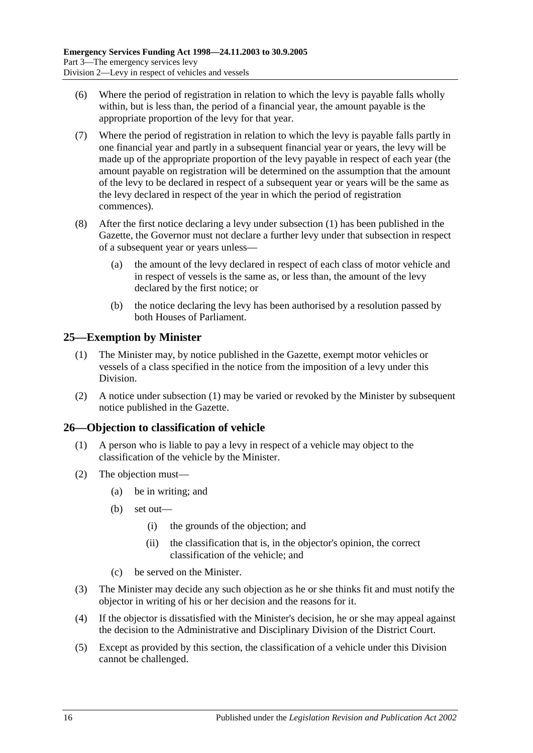- (6) Where the period of registration in relation to which the levy is payable falls wholly within, but is less than, the period of a financial year, the amount payable is the appropriate proportion of the levy for that year.
- (7) Where the period of registration in relation to which the levy is payable falls partly in one financial year and partly in a subsequent financial year or years, the levy will be made up of the appropriate proportion of the levy payable in respect of each year (the amount payable on registration will be determined on the assumption that the amount of the levy to be declared in respect of a subsequent year or years will be the same as the levy declared in respect of the year in which the period of registration commences).
- (8) After the first notice declaring a levy under [subsection](#page-14-5) (1) has been published in the Gazette, the Governor must not declare a further levy under that subsection in respect of a subsequent year or years unless—
	- (a) the amount of the levy declared in respect of each class of motor vehicle and in respect of vessels is the same as, or less than, the amount of the levy declared by the first notice; or
	- (b) the notice declaring the levy has been authorised by a resolution passed by both Houses of Parliament.

## <span id="page-15-2"></span><span id="page-15-0"></span>**25—Exemption by Minister**

- (1) The Minister may, by notice published in the Gazette, exempt motor vehicles or vessels of a class specified in the notice from the imposition of a levy under this Division.
- (2) A notice under [subsection](#page-15-2) (1) may be varied or revoked by the Minister by subsequent notice published in the Gazette.

## <span id="page-15-1"></span>**26—Objection to classification of vehicle**

- (1) A person who is liable to pay a levy in respect of a vehicle may object to the classification of the vehicle by the Minister.
- (2) The objection must—
	- (a) be in writing; and
	- (b) set out—
		- (i) the grounds of the objection; and
		- (ii) the classification that is, in the objector's opinion, the correct classification of the vehicle; and
	- (c) be served on the Minister.
- (3) The Minister may decide any such objection as he or she thinks fit and must notify the objector in writing of his or her decision and the reasons for it.
- (4) If the objector is dissatisfied with the Minister's decision, he or she may appeal against the decision to the Administrative and Disciplinary Division of the District Court.
- (5) Except as provided by this section, the classification of a vehicle under this Division cannot be challenged.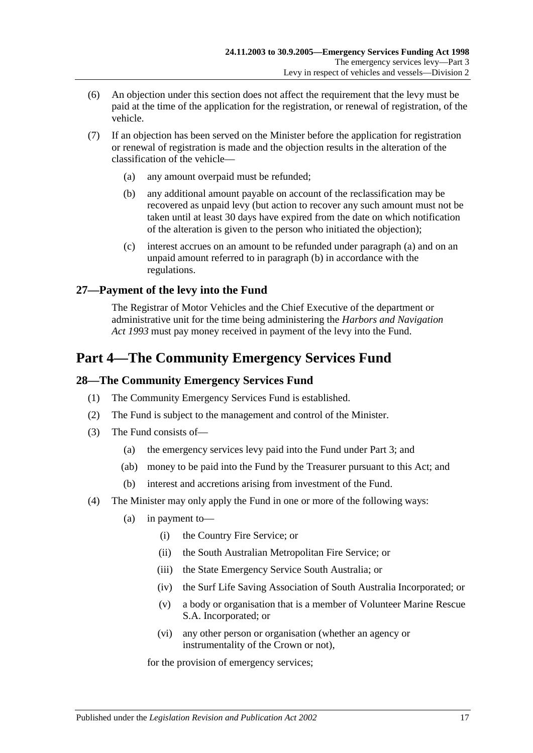- (6) An objection under this section does not affect the requirement that the levy must be paid at the time of the application for the registration, or renewal of registration, of the vehicle.
- <span id="page-16-5"></span><span id="page-16-4"></span>(7) If an objection has been served on the Minister before the application for registration or renewal of registration is made and the objection results in the alteration of the classification of the vehicle—
	- (a) any amount overpaid must be refunded;
	- (b) any additional amount payable on account of the reclassification may be recovered as unpaid levy (but action to recover any such amount must not be taken until at least 30 days have expired from the date on which notification of the alteration is given to the person who initiated the objection);
	- (c) interest accrues on an amount to be refunded under [paragraph](#page-16-4) (a) and on an unpaid amount referred to in [paragraph](#page-16-5) (b) in accordance with the regulations.

## <span id="page-16-0"></span>**27—Payment of the levy into the Fund**

The Registrar of Motor Vehicles and the Chief Executive of the department or administrative unit for the time being administering the *[Harbors and Navigation](http://www.legislation.sa.gov.au/index.aspx?action=legref&type=act&legtitle=Harbors%20and%20Navigation%20Act%201993)  Act [1993](http://www.legislation.sa.gov.au/index.aspx?action=legref&type=act&legtitle=Harbors%20and%20Navigation%20Act%201993)* must pay money received in payment of the levy into the Fund.

# <span id="page-16-1"></span>**Part 4—The Community Emergency Services Fund**

## <span id="page-16-2"></span>**28—The Community Emergency Services Fund**

- (1) The Community Emergency Services Fund is established.
- (2) The Fund is subject to the management and control of the Minister.
- (3) The Fund consists of—
	- (a) the emergency services levy paid into the Fund under [Part 3;](#page-3-0) and
	- (ab) money to be paid into the Fund by the Treasurer pursuant to this Act; and
	- (b) interest and accretions arising from investment of the Fund.
- <span id="page-16-3"></span>(4) The Minister may only apply the Fund in one or more of the following ways:
	- (a) in payment to—
		- (i) the Country Fire Service; or
		- (ii) the South Australian Metropolitan Fire Service; or
		- (iii) the State Emergency Service South Australia; or
		- (iv) the Surf Life Saving Association of South Australia Incorporated; or
		- (v) a body or organisation that is a member of Volunteer Marine Rescue S.A. Incorporated; or
		- (vi) any other person or organisation (whether an agency or instrumentality of the Crown or not),

for the provision of emergency services;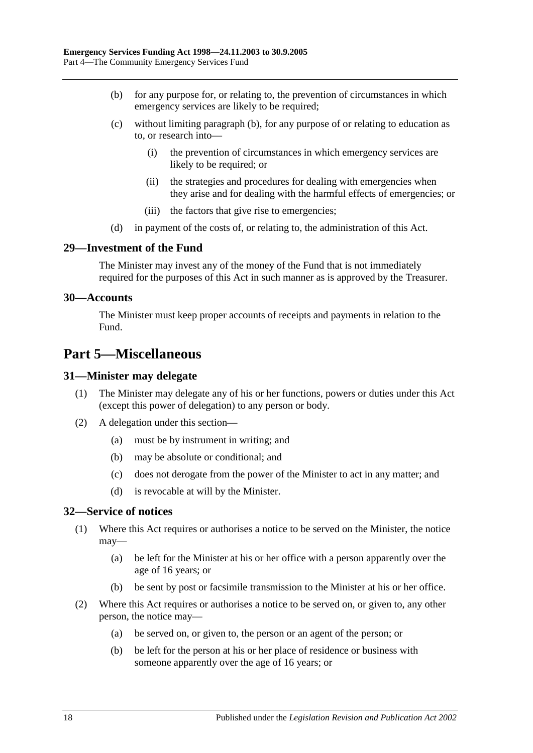- <span id="page-17-5"></span>(b) for any purpose for, or relating to, the prevention of circumstances in which emergency services are likely to be required;
- (c) without limiting [paragraph](#page-17-5) (b), for any purpose of or relating to education as to, or research into—
	- (i) the prevention of circumstances in which emergency services are likely to be required; or
	- (ii) the strategies and procedures for dealing with emergencies when they arise and for dealing with the harmful effects of emergencies; or
	- (iii) the factors that give rise to emergencies;
- (d) in payment of the costs of, or relating to, the administration of this Act.

#### <span id="page-17-0"></span>**29—Investment of the Fund**

The Minister may invest any of the money of the Fund that is not immediately required for the purposes of this Act in such manner as is approved by the Treasurer.

#### <span id="page-17-1"></span>**30—Accounts**

The Minister must keep proper accounts of receipts and payments in relation to the Fund.

# <span id="page-17-2"></span>**Part 5—Miscellaneous**

#### <span id="page-17-3"></span>**31—Minister may delegate**

- (1) The Minister may delegate any of his or her functions, powers or duties under this Act (except this power of delegation) to any person or body.
- (2) A delegation under this section—
	- (a) must be by instrument in writing; and
	- (b) may be absolute or conditional; and
	- (c) does not derogate from the power of the Minister to act in any matter; and
	- (d) is revocable at will by the Minister.

#### <span id="page-17-4"></span>**32—Service of notices**

- (1) Where this Act requires or authorises a notice to be served on the Minister, the notice may—
	- (a) be left for the Minister at his or her office with a person apparently over the age of 16 years; or
	- (b) be sent by post or facsimile transmission to the Minister at his or her office.
- (2) Where this Act requires or authorises a notice to be served on, or given to, any other person, the notice may—
	- (a) be served on, or given to, the person or an agent of the person; or
	- (b) be left for the person at his or her place of residence or business with someone apparently over the age of 16 years; or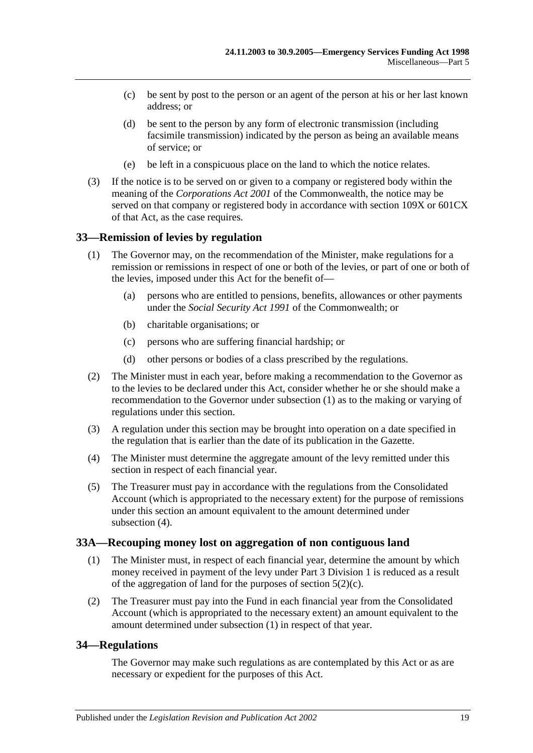- (c) be sent by post to the person or an agent of the person at his or her last known address; or
- (d) be sent to the person by any form of electronic transmission (including facsimile transmission) indicated by the person as being an available means of service; or
- (e) be left in a conspicuous place on the land to which the notice relates.
- (3) If the notice is to be served on or given to a company or registered body within the meaning of the *Corporations Act 2001* of the Commonwealth, the notice may be served on that company or registered body in accordance with section 109X or 601CX of that Act, as the case requires.

#### <span id="page-18-3"></span><span id="page-18-0"></span>**33—Remission of levies by regulation**

- (1) The Governor may, on the recommendation of the Minister, make regulations for a remission or remissions in respect of one or both of the levies, or part of one or both of the levies, imposed under this Act for the benefit of—
	- (a) persons who are entitled to pensions, benefits, allowances or other payments under the *Social Security Act 1991* of the Commonwealth; or
	- (b) charitable organisations; or
	- (c) persons who are suffering financial hardship; or
	- (d) other persons or bodies of a class prescribed by the regulations.
- (2) The Minister must in each year, before making a recommendation to the Governor as to the levies to be declared under this Act, consider whether he or she should make a recommendation to the Governor under [subsection](#page-18-3) (1) as to the making or varying of regulations under this section.
- (3) A regulation under this section may be brought into operation on a date specified in the regulation that is earlier than the date of its publication in the Gazette.
- <span id="page-18-4"></span>(4) The Minister must determine the aggregate amount of the levy remitted under this section in respect of each financial year.
- (5) The Treasurer must pay in accordance with the regulations from the Consolidated Account (which is appropriated to the necessary extent) for the purpose of remissions under this section an amount equivalent to the amount determined under [subsection](#page-18-4)  $(4)$ .

#### <span id="page-18-5"></span><span id="page-18-1"></span>**33A—Recouping money lost on aggregation of non contiguous land**

- (1) The Minister must, in respect of each financial year, determine the amount by which money received in payment of the levy under [Part 3 Division 1](#page-3-1) is reduced as a result of the aggregation of land for the purposes of section  $5(2)(c)$ .
- (2) The Treasurer must pay into the Fund in each financial year from the Consolidated Account (which is appropriated to the necessary extent) an amount equivalent to the amount determined under [subsection](#page-18-5) (1) in respect of that year.

#### <span id="page-18-2"></span>**34—Regulations**

The Governor may make such regulations as are contemplated by this Act or as are necessary or expedient for the purposes of this Act.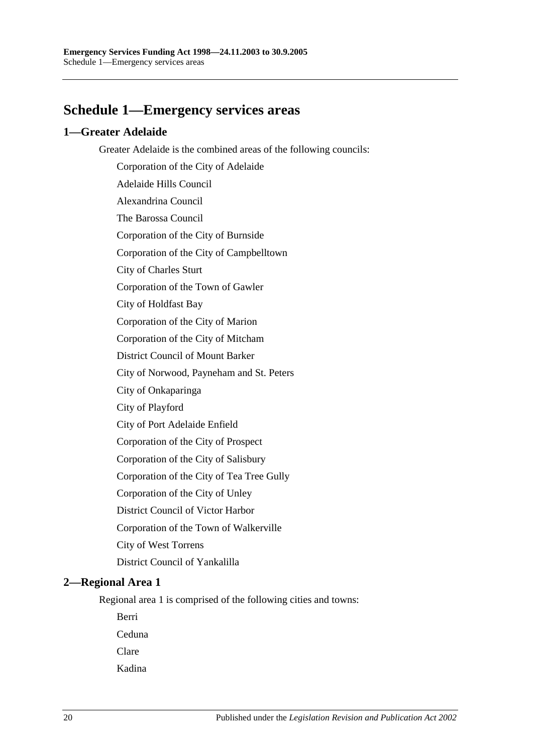# <span id="page-19-0"></span>**Schedule 1—Emergency services areas**

## <span id="page-19-1"></span>**1—Greater Adelaide**

Greater Adelaide is the combined areas of the following councils:

Corporation of the City of Adelaide Adelaide Hills Council Alexandrina Council The Barossa Council Corporation of the City of Burnside Corporation of the City of Campbelltown City of Charles Sturt Corporation of the Town of Gawler City of Holdfast Bay Corporation of the City of Marion Corporation of the City of Mitcham District Council of Mount Barker City of Norwood, Payneham and St. Peters City of Onkaparinga City of Playford City of Port Adelaide Enfield Corporation of the City of Prospect Corporation of the City of Salisbury Corporation of the City of Tea Tree Gully Corporation of the City of Unley District Council of Victor Harbor Corporation of the Town of Walkerville City of West Torrens District Council of Yankalilla **2—Regional Area 1**

## <span id="page-19-2"></span>Regional area 1 is comprised of the following cities and towns:

Berri

Ceduna

Clare

Kadina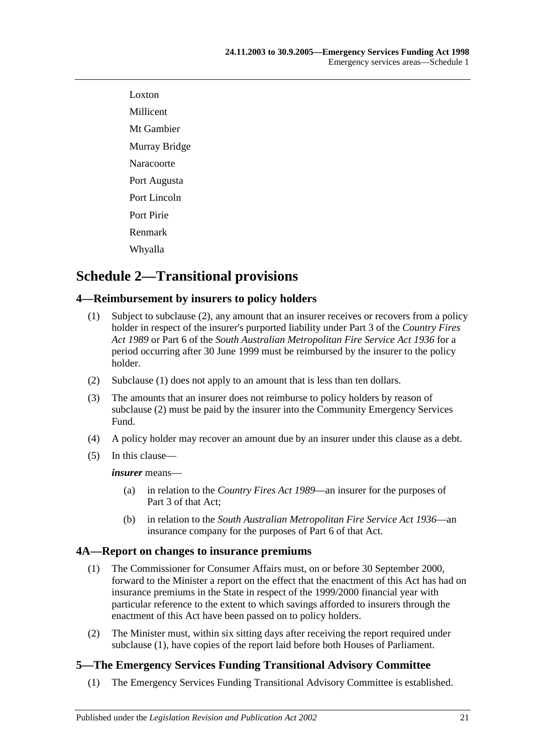Loxton Millicent Mt Gambier Murray Bridge Naracoorte Port Augusta Port Lincoln Port Pirie Renmark Whyalla

# <span id="page-20-0"></span>**Schedule 2—Transitional provisions**

## <span id="page-20-5"></span><span id="page-20-1"></span>**4—Reimbursement by insurers to policy holders**

- (1) Subject to [subclause](#page-20-4) (2), any amount that an insurer receives or recovers from a policy holder in respect of the insurer's purported liability under Part 3 of the *[Country Fires](http://www.legislation.sa.gov.au/index.aspx?action=legref&type=act&legtitle=Country%20Fires%20Act%201989)  Act [1989](http://www.legislation.sa.gov.au/index.aspx?action=legref&type=act&legtitle=Country%20Fires%20Act%201989)* or Part 6 of the *[South Australian Metropolitan Fire Service Act](http://www.legislation.sa.gov.au/index.aspx?action=legref&type=act&legtitle=South%20Australian%20Metropolitan%20Fire%20Service%20Act%201936) 1936* for a period occurring after 30 June 1999 must be reimbursed by the insurer to the policy holder.
- <span id="page-20-4"></span>(2) [Subclause](#page-20-5) (1) does not apply to an amount that is less than ten dollars.
- (3) The amounts that an insurer does not reimburse to policy holders by reason of [subclause](#page-20-4) (2) must be paid by the insurer into the Community Emergency Services Fund.
- (4) A policy holder may recover an amount due by an insurer under this clause as a debt.
- (5) In this clause—

*insurer* means—

- (a) in relation to the *[Country Fires Act](http://www.legislation.sa.gov.au/index.aspx?action=legref&type=act&legtitle=Country%20Fires%20Act%201989) 1989*—an insurer for the purposes of Part 3 of that Act;
- (b) in relation to the *[South Australian Metropolitan Fire Service Act](http://www.legislation.sa.gov.au/index.aspx?action=legref&type=act&legtitle=South%20Australian%20Metropolitan%20Fire%20Service%20Act%201936) 1936*—an insurance company for the purposes of Part 6 of that Act.

## <span id="page-20-6"></span><span id="page-20-2"></span>**4A—Report on changes to insurance premiums**

- (1) The Commissioner for Consumer Affairs must, on or before 30 September 2000, forward to the Minister a report on the effect that the enactment of this Act has had on insurance premiums in the State in respect of the 1999/2000 financial year with particular reference to the extent to which savings afforded to insurers through the enactment of this Act have been passed on to policy holders.
- (2) The Minister must, within six sitting days after receiving the report required under [subclause](#page-20-6) (1), have copies of the report laid before both Houses of Parliament.

## <span id="page-20-3"></span>**5—The Emergency Services Funding Transitional Advisory Committee**

(1) The Emergency Services Funding Transitional Advisory Committee is established.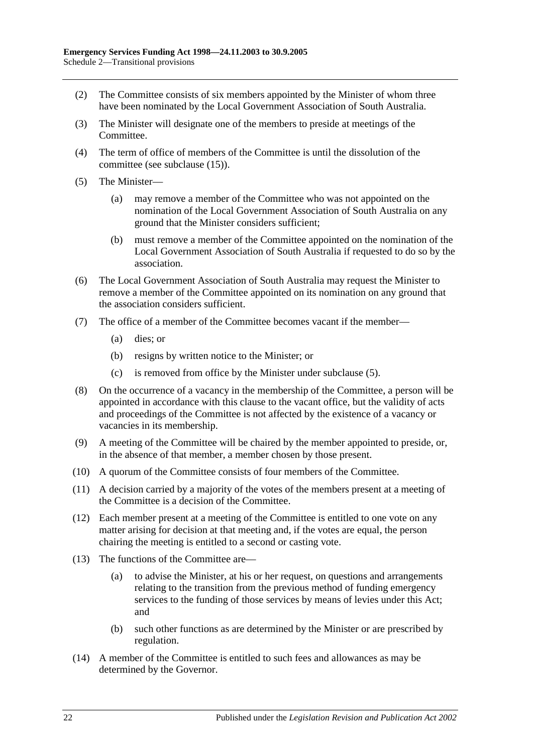- (2) The Committee consists of six members appointed by the Minister of whom three have been nominated by the Local Government Association of South Australia.
- (3) The Minister will designate one of the members to preside at meetings of the Committee.
- (4) The term of office of members of the Committee is until the dissolution of the committee (see [subclause](#page-22-1) (15)).
- <span id="page-21-0"></span>(5) The Minister—
	- (a) may remove a member of the Committee who was not appointed on the nomination of the Local Government Association of South Australia on any ground that the Minister considers sufficient;
	- (b) must remove a member of the Committee appointed on the nomination of the Local Government Association of South Australia if requested to do so by the association.
- (6) The Local Government Association of South Australia may request the Minister to remove a member of the Committee appointed on its nomination on any ground that the association considers sufficient.
- (7) The office of a member of the Committee becomes vacant if the member—
	- (a) dies; or
	- (b) resigns by written notice to the Minister; or
	- (c) is removed from office by the Minister under [subclause](#page-21-0) (5).
- (8) On the occurrence of a vacancy in the membership of the Committee, a person will be appointed in accordance with this clause to the vacant office, but the validity of acts and proceedings of the Committee is not affected by the existence of a vacancy or vacancies in its membership.
- (9) A meeting of the Committee will be chaired by the member appointed to preside, or, in the absence of that member, a member chosen by those present.
- (10) A quorum of the Committee consists of four members of the Committee.
- (11) A decision carried by a majority of the votes of the members present at a meeting of the Committee is a decision of the Committee.
- (12) Each member present at a meeting of the Committee is entitled to one vote on any matter arising for decision at that meeting and, if the votes are equal, the person chairing the meeting is entitled to a second or casting vote.
- (13) The functions of the Committee are—
	- (a) to advise the Minister, at his or her request, on questions and arrangements relating to the transition from the previous method of funding emergency services to the funding of those services by means of levies under this Act; and
	- (b) such other functions as are determined by the Minister or are prescribed by regulation.
- (14) A member of the Committee is entitled to such fees and allowances as may be determined by the Governor.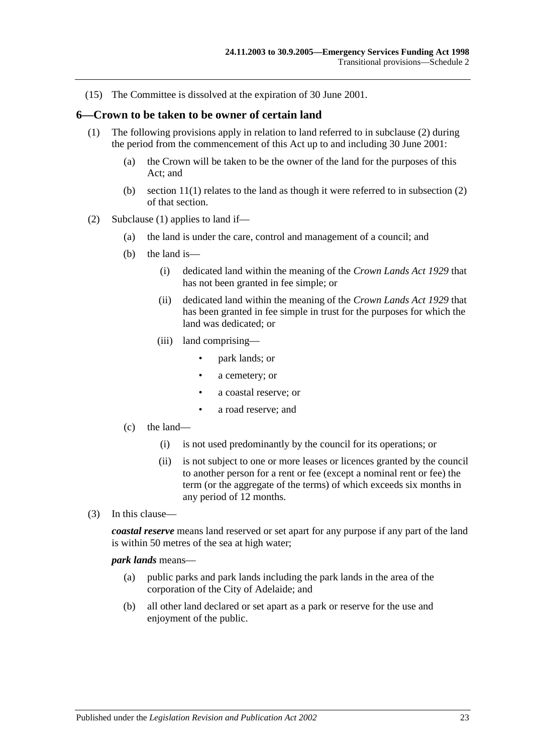<span id="page-22-1"></span>(15) The Committee is dissolved at the expiration of 30 June 2001.

#### <span id="page-22-3"></span><span id="page-22-0"></span>**6—Crown to be taken to be owner of certain land**

- (1) The following provisions apply in relation to land referred to in [subclause](#page-22-2) (2) during the period from the commencement of this Act up to and including 30 June 2001:
	- (a) the Crown will be taken to be the owner of the land for the purposes of this Act; and
	- (b) section 11(1) relates to the land as though it were referred to in subsection (2) of that section.
- <span id="page-22-2"></span>(2) [Subclause](#page-22-3) (1) applies to land if—
	- (a) the land is under the care, control and management of a council; and
	- (b) the land is—
		- (i) dedicated land within the meaning of the *[Crown Lands Act](http://www.legislation.sa.gov.au/index.aspx?action=legref&type=act&legtitle=Crown%20Lands%20Act%201929) 1929* that has not been granted in fee simple; or
		- (ii) dedicated land within the meaning of the *[Crown Lands Act](http://www.legislation.sa.gov.au/index.aspx?action=legref&type=act&legtitle=Crown%20Lands%20Act%201929) 1929* that has been granted in fee simple in trust for the purposes for which the land was dedicated; or
		- (iii) land comprising—
			- park lands; or
			- a cemetery; or
			- a coastal reserve; or
			- a road reserve; and
	- (c) the land—
		- (i) is not used predominantly by the council for its operations; or
		- (ii) is not subject to one or more leases or licences granted by the council to another person for a rent or fee (except a nominal rent or fee) the term (or the aggregate of the terms) of which exceeds six months in any period of 12 months.
- (3) In this clause—

*coastal reserve* means land reserved or set apart for any purpose if any part of the land is within 50 metres of the sea at high water;

*park lands* means—

- (a) public parks and park lands including the park lands in the area of the corporation of the City of Adelaide; and
- (b) all other land declared or set apart as a park or reserve for the use and enjoyment of the public.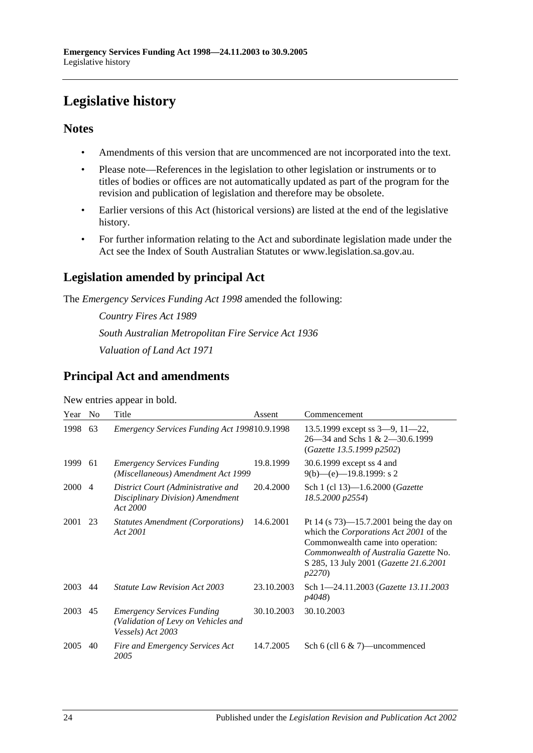# <span id="page-23-0"></span>**Legislative history**

## **Notes**

- Amendments of this version that are uncommenced are not incorporated into the text.
- Please note—References in the legislation to other legislation or instruments or to titles of bodies or offices are not automatically updated as part of the program for the revision and publication of legislation and therefore may be obsolete.
- Earlier versions of this Act (historical versions) are listed at the end of the legislative history.
- For further information relating to the Act and subordinate legislation made under the Act see the Index of South Australian Statutes or www.legislation.sa.gov.au.

# **Legislation amended by principal Act**

The *Emergency Services Funding Act 1998* amended the following:

*Country Fires Act 1989 South Australian Metropolitan Fire Service Act 1936 Valuation of Land Act 1971*

## **Principal Act and amendments**

| Year | N <sub>0</sub> | Title                                                                                                 | Assent     | Commencement                                                                                                                                                                                                                  |
|------|----------------|-------------------------------------------------------------------------------------------------------|------------|-------------------------------------------------------------------------------------------------------------------------------------------------------------------------------------------------------------------------------|
| 1998 | 63             | Emergency Services Funding Act 199810.9.1998                                                          |            | 13.5.1999 except ss $3-9$ , $11-22$ ,<br>26–34 and Schs 1 & 2–30.6.1999<br>(Gazette 13.5.1999 p2502)                                                                                                                          |
| 1999 | 61             | <b>Emergency Services Funding</b><br>(Miscellaneous) Amendment Act 1999                               | 19.8.1999  | 30.6.1999 except ss 4 and<br>$9(b)$ —(e)—19.8.1999: s 2                                                                                                                                                                       |
| 2000 | 4              | District Court (Administrative and<br>Disciplinary Division) Amendment<br>Act 2000                    | 20.4.2000  | Sch 1 (cl 13)-1.6.2000 ( <i>Gazette</i><br>18.5.2000 p2554)                                                                                                                                                                   |
| 2001 | 23             | <b>Statutes Amendment (Corporations)</b><br>Act 2001                                                  | 14.6.2001  | Pt 14 (s $73$ )—15.7.2001 being the day on<br>which the <i>Corporations Act 2001</i> of the<br>Commonwealth came into operation:<br>Commonwealth of Australia Gazette No.<br>S 285, 13 July 2001 (Gazette 21.6.2001<br>p2270) |
| 2003 | 44             | <i>Statute Law Revision Act 2003</i>                                                                  | 23.10.2003 | Sch 1-24.11.2003 (Gazette 13.11.2003<br>p4048)                                                                                                                                                                                |
| 2003 | 45             | <b>Emergency Services Funding</b><br>(Validation of Levy on Vehicles and<br><i>Vessels</i> ) Act 2003 | 30.10.2003 | 30.10.2003                                                                                                                                                                                                                    |
| 2005 | 40             | Fire and Emergency Services Act<br>2005                                                               | 14.7.2005  | Sch 6 (cll 6 $\&$ 7)—uncommenced                                                                                                                                                                                              |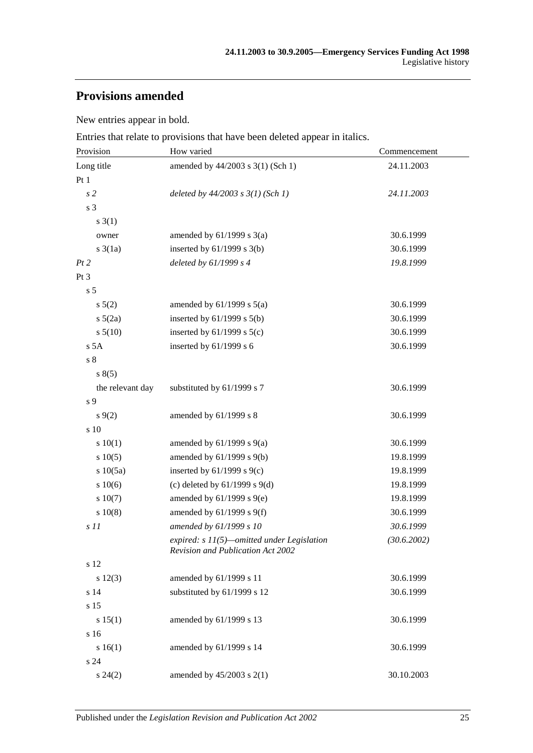# **Provisions amended**

New entries appear in bold.

Entries that relate to provisions that have been deleted appear in italics.

| Provision        | How varied                                                                      | Commencement |
|------------------|---------------------------------------------------------------------------------|--------------|
| Long title       | amended by 44/2003 s 3(1) (Sch 1)                                               | 24.11.2003   |
| Pt1              |                                                                                 |              |
| s <sub>2</sub>   | deleted by $44/2003$ s $3(1)$ (Sch 1)                                           | 24.11.2003   |
| s 3              |                                                                                 |              |
| $s \; 3(1)$      |                                                                                 |              |
| owner            | amended by $61/1999$ s $3(a)$                                                   | 30.6.1999    |
| $s \frac{3}{1a}$ | inserted by $61/1999$ s $3(b)$                                                  | 30.6.1999    |
| Pt 2             | deleted by $61/1999 s 4$                                                        | 19.8.1999    |
| Pt 3             |                                                                                 |              |
| s <sub>5</sub>   |                                                                                 |              |
| s 5(2)           | amended by $61/1999$ s $5(a)$                                                   | 30.6.1999    |
| $s\ 5(2a)$       | inserted by 61/1999 s 5(b)                                                      | 30.6.1999    |
| s 5(10)          | inserted by $61/1999$ s $5(c)$                                                  | 30.6.1999    |
| s 5A             | inserted by $61/1999$ s 6                                                       | 30.6.1999    |
| s <sub>8</sub>   |                                                                                 |              |
| s(5)             |                                                                                 |              |
| the relevant day | substituted by 61/1999 s 7                                                      | 30.6.1999    |
| s 9              |                                                                                 |              |
| $s \, 9(2)$      | amended by 61/1999 s 8                                                          | 30.6.1999    |
| s 10             |                                                                                 |              |
| 10(1)            | amended by $61/1999$ s $9(a)$                                                   | 30.6.1999    |
| s 10(5)          | amended by 61/1999 s 9(b)                                                       | 19.8.1999    |
| s 10(5a)         | inserted by $61/1999$ s $9(c)$                                                  | 19.8.1999    |
| s 10(6)          | (c) deleted by $61/1999$ s $9(d)$                                               | 19.8.1999    |
| s 10(7)          | amended by $61/1999$ s $9(e)$                                                   | 19.8.1999    |
| 10(8)            | amended by 61/1999 s 9(f)                                                       | 30.6.1999    |
| s 11             | amended by 61/1999 s 10                                                         | 30.6.1999    |
|                  | expired: s 11(5)-omitted under Legislation<br>Revision and Publication Act 2002 | (30.6.2002)  |
| s 12             |                                                                                 |              |
| s 12(3)          | amended by 61/1999 s 11                                                         | 30.6.1999    |
| s 14             | substituted by 61/1999 s 12                                                     | 30.6.1999    |
| s 15             |                                                                                 |              |
| s 15(1)          | amended by 61/1999 s 13                                                         | 30.6.1999    |
| s 16             |                                                                                 |              |
| s 16(1)          | amended by 61/1999 s 14                                                         | 30.6.1999    |
| s 24             |                                                                                 |              |
| $s\,24(2)$       | amended by 45/2003 s 2(1)                                                       | 30.10.2003   |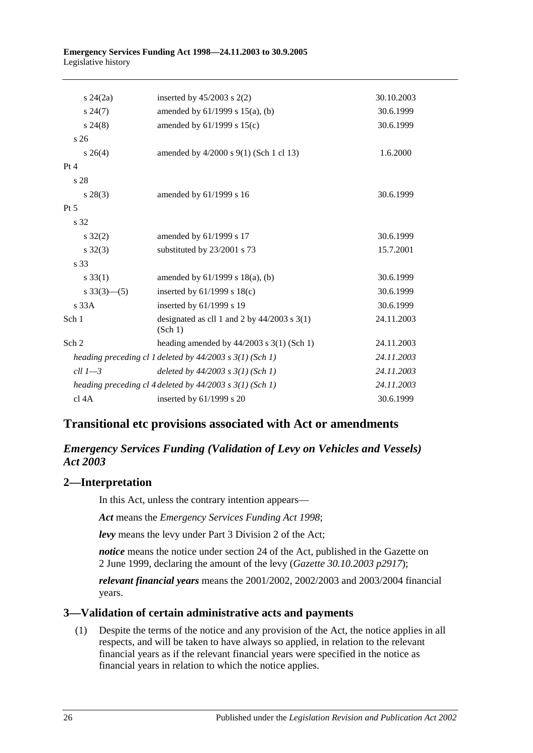| $s\,24(2a)$               | inserted by $45/2003$ s $2(2)$                               | 30.10.2003 |
|---------------------------|--------------------------------------------------------------|------------|
| $s\,24(7)$                | amended by $61/1999$ s $15(a)$ , (b)                         | 30.6.1999  |
| $s\,24(8)$                | amended by 61/1999 s 15(c)                                   | 30.6.1999  |
| s <sub>26</sub>           |                                                              |            |
| $s \; 26(4)$              | amended by 4/2000 s 9(1) (Sch 1 cl 13)                       | 1.6.2000   |
| Pt 4                      |                                                              |            |
| s <sub>28</sub>           |                                                              |            |
| $s\,28(3)$                | amended by 61/1999 s 16                                      | 30.6.1999  |
| Pt 5                      |                                                              |            |
| s 32                      |                                                              |            |
| $s \, 32(2)$              | amended by 61/1999 s 17                                      | 30.6.1999  |
| $s \, 32(3)$              | substituted by 23/2001 s 73                                  | 15.7.2001  |
| s 33                      |                                                              |            |
| $s \, 33(1)$              | amended by $61/1999$ s $18(a)$ , (b)                         | 30.6.1999  |
| $s \frac{33(3) - (5)}{2}$ | inserted by $61/1999$ s $18(c)$                              | 30.6.1999  |
| s33A                      | inserted by 61/1999 s 19                                     | 30.6.1999  |
| Sch 1                     | designated as cll 1 and 2 by $44/2003$ s 3(1)<br>(Sch 1)     | 24.11.2003 |
| Sch <sub>2</sub>          | heading amended by $44/2003$ s 3(1) (Sch 1)                  | 24.11.2003 |
|                           | heading preceding cl 1 deleted by $44/2003$ s $3(1)$ (Sch 1) | 24.11.2003 |
| $ell 1 - 3$               | deleted by $44/2003$ s $3(1)$ (Sch 1)                        | 24.11.2003 |
|                           | heading preceding cl 4 deleted by $44/2003$ s $3(1)$ (Sch 1) | 24.11.2003 |
| cl 4A                     | inserted by 61/1999 s 20                                     | 30.6.1999  |

## **Transitional etc provisions associated with Act or amendments**

## *Emergency Services Funding (Validation of Levy on Vehicles and Vessels) Act 2003*

## **2—Interpretation**

In this Act, unless the contrary intention appears—

*Act* means the *[Emergency Services Funding Act](http://www.legislation.sa.gov.au/index.aspx?action=legref&type=act&legtitle=Emergency%20Services%20Funding%20Act%201998) 1998*;

*levy* means the levy under Part 3 Division 2 of the Act;

*notice* means the notice under section 24 of the Act, published in the Gazette on 2 June 1999, declaring the amount of the levy (*Gazette 30.10.2003 p2917*);

*relevant financial years* means the 2001/2002, 2002/2003 and 2003/2004 financial years.

## **3—Validation of certain administrative acts and payments**

(1) Despite the terms of the notice and any provision of the Act, the notice applies in all respects, and will be taken to have always so applied, in relation to the relevant financial years as if the relevant financial years were specified in the notice as financial years in relation to which the notice applies.